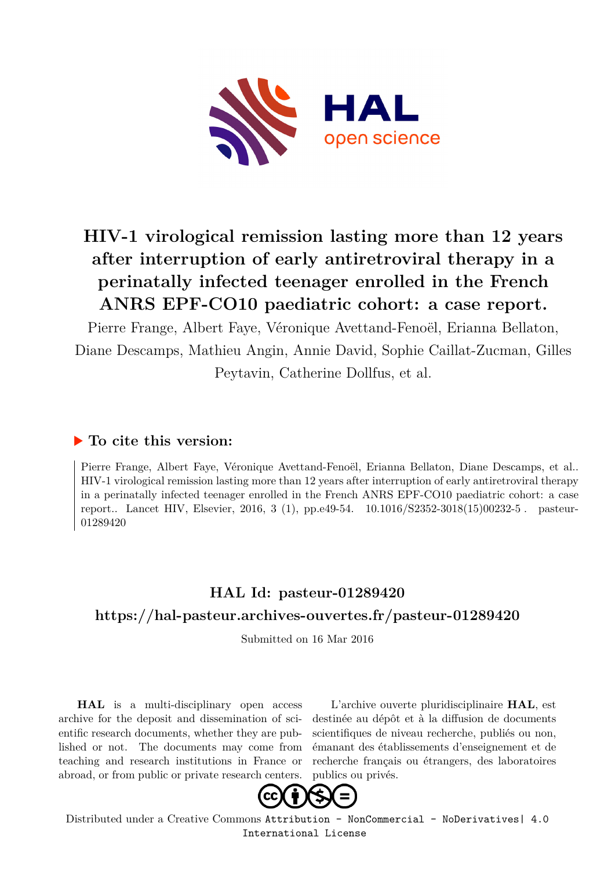

# **HIV-1 virological remission lasting more than 12 years after interruption of early antiretroviral therapy in a perinatally infected teenager enrolled in the French ANRS EPF-CO10 paediatric cohort: a case report.**

Pierre Frange, Albert Faye, Véronique Avettand-Fenoël, Erianna Bellaton, Diane Descamps, Mathieu Angin, Annie David, Sophie Caillat-Zucman, Gilles Peytavin, Catherine Dollfus, et al.

# **To cite this version:**

Pierre Frange, Albert Faye, Véronique Avettand-Fenoël, Erianna Bellaton, Diane Descamps, et al.. HIV-1 virological remission lasting more than 12 years after interruption of early antiretroviral therapy in a perinatally infected teenager enrolled in the French ANRS EPF-CO10 paediatric cohort: a case report.. Lancet HIV, Elsevier, 2016, 3 (1), pp.e49-54.  $10.1016/S2352-3018(15)00232-5$ . pasteur-01289420ff

# **HAL Id: pasteur-01289420 <https://hal-pasteur.archives-ouvertes.fr/pasteur-01289420>**

Submitted on 16 Mar 2016

**HAL** is a multi-disciplinary open access archive for the deposit and dissemination of scientific research documents, whether they are published or not. The documents may come from teaching and research institutions in France or abroad, or from public or private research centers.

L'archive ouverte pluridisciplinaire **HAL**, est destinée au dépôt et à la diffusion de documents scientifiques de niveau recherche, publiés ou non, émanant des établissements d'enseignement et de recherche français ou étrangers, des laboratoires publics ou privés.



Distributed under a Creative Commons [Attribution - NonCommercial - NoDerivatives| 4.0](http://creativecommons.org/licenses/by-nc-nd/4.0/) [International License](http://creativecommons.org/licenses/by-nc-nd/4.0/)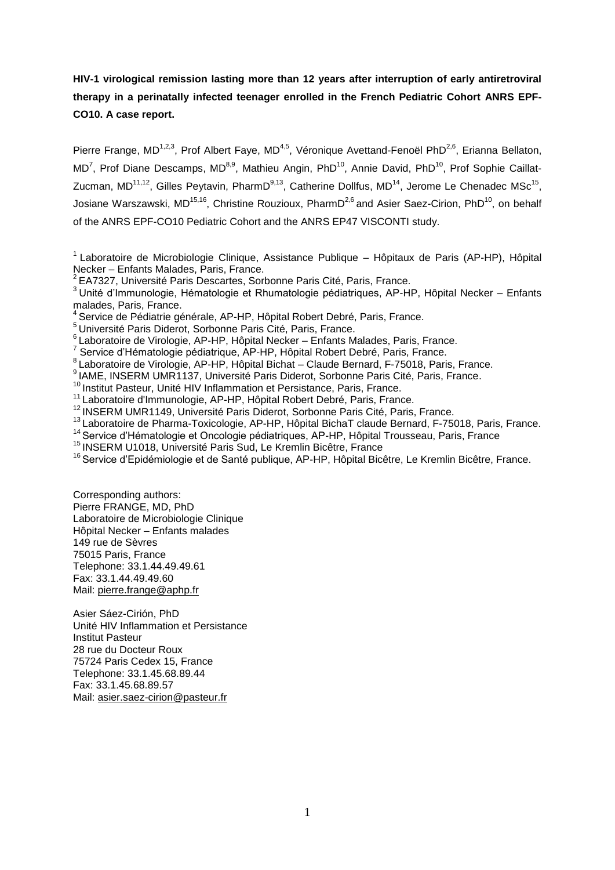**HIV-1 virological remission lasting more than 12 years after interruption of early antiretroviral therapy in a perinatally infected teenager enrolled in the French Pediatric Cohort ANRS EPF-CO10. A case report.**

Pierre Frange, MD<sup>1,2,3</sup>, Prof Albert Faye, MD<sup>4,5</sup>, Véronique Avettand-Fenoël PhD<sup>2,6</sup>, Erianna Bellaton, MD<sup>7</sup>, Prof Diane Descamps, MD<sup>8,9</sup>, Mathieu Angin, PhD<sup>10</sup>, Annie David, PhD<sup>10</sup>, Prof Sophie Caillat-Zucman, MD<sup>11,12</sup>, Gilles Peytavin, PharmD<sup>9,13</sup>, Catherine Dollfus, MD<sup>14</sup>, Jerome Le Chenadec MSc<sup>15</sup>, Josiane Warszawski, MD<sup>15,16</sup>, Christine Rouzioux, PharmD<sup>2,6</sup> and Asier Saez-Cirion, PhD<sup>10</sup>, on behalf of the ANRS EPF-CO10 Pediatric Cohort and the ANRS EP47 VISCONTI study.

 $6$  Laboratoire de Virologie, AP-HP, Hôpital Necker – Enfants Malades, Paris, France.

- 8<br>Laboratoire de Virologie, AP-HP, Hôpital Bichat Claude Bernard, F-75018, Paris, France.
- <sup>9</sup> IAME, INSERM UMR1137, Université Paris Diderot, Sorbonne Paris Cité, Paris, France.

<sup>10</sup> Institut Pasteur, Unité HIV Inflammation et Persistance, Paris, France.

- <sup>11</sup> Laboratoire d'Immunologie, AP-HP, Hôpital Robert Debré, Paris, France.
- <sup>12</sup> INSERM UMR1149, Université Paris Diderot, Sorbonne Paris Cité, Paris, France.
- <sup>13</sup> Laboratoire de Pharma-Toxicologie, AP-HP, Hôpital BichaT claude Bernard, F-75018, Paris, France.
- <sup>14</sup> Service d'Hématologie et Oncologie pédiatriques, AP-HP, Hôpital Trousseau, Paris, France
- <sup>15</sup> INSERM U1018, Université Paris Sud, Le Kremlin Bicêtre, France
- <sup>16</sup> Service d'Epidémiologie et de Santé publique, AP-HP, Hôpital Bicêtre, Le Kremlin Bicêtre, France.

Corresponding authors: Pierre FRANGE, MD, PhD Laboratoire de Microbiologie Clinique Hôpital Necker – Enfants malades 149 rue de Sèvres 75015 Paris, France Telephone: 33.1.44.49.49.61 Fax: 33.1.44.49.49.60 Mail: [pierre.frange@aphp.fr](mailto:pierre.frange@aphp.fr)

Asier Sáez-Cirión, PhD Unité HIV Inflammation et Persistance Institut Pasteur 28 rue du Docteur Roux 75724 Paris Cedex 15, France Telephone: 33.1.45.68.89.44 Fax: 33.1.45.68.89.57 Mail: [asier.saez-cirion@pasteur.fr](mailto:asier.saez-cirion@pasteur.fr)

 $1$  Laboratoire de Microbiologie Clinique, Assistance Publique – Hôpitaux de Paris (AP-HP), Hôpital Necker – Enfants Malades, Paris, France.

<sup>&</sup>lt;sup>2</sup> EA7327, Université Paris Descartes, Sorbonne Paris Cité, Paris, France,

<sup>&</sup>lt;sup>3</sup> Unité d'Immunologie, Hématologie et Rhumatologie pédiatriques, AP-HP, Hôpital Necker – Enfants malades, Paris, France.

<sup>&</sup>lt;sup>4</sup> Service de Pédiatrie générale, AP-HP, Hôpital Robert Debré, Paris, France.

<sup>&</sup>lt;sup>5</sup> Université Paris Diderot, Sorbonne Paris Cité, Paris, France.

<sup>&</sup>lt;sup>7</sup> Service d'Hématologie pédiatrique, AP-HP, Hôpital Robert Debré, Paris, France.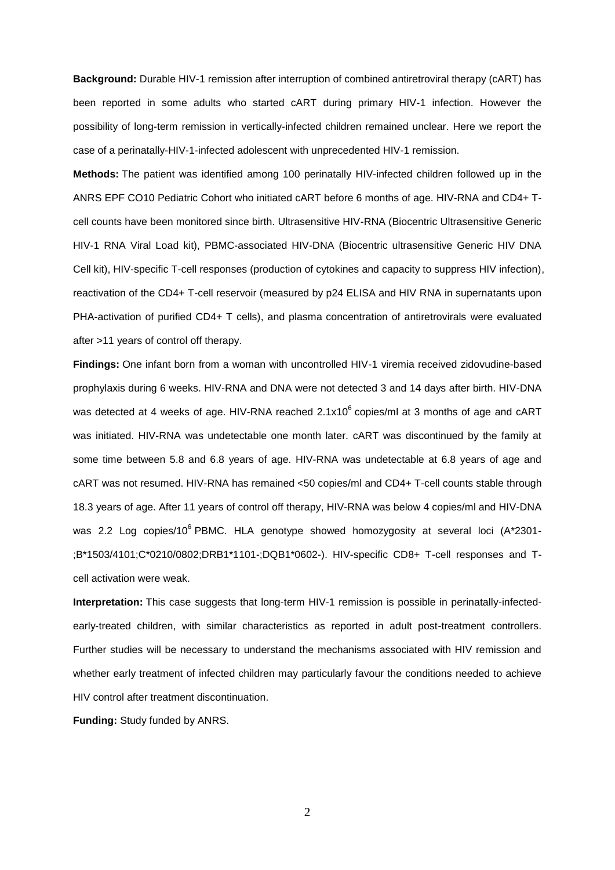**Background:** Durable HIV-1 remission after interruption of combined antiretroviral therapy (cART) has been reported in some adults who started cART during primary HIV-1 infection. However the possibility of long-term remission in vertically-infected children remained unclear. Here we report the case of a perinatally-HIV-1-infected adolescent with unprecedented HIV-1 remission.

**Methods:** The patient was identified among 100 perinatally HIV-infected children followed up in the ANRS EPF CO10 Pediatric Cohort who initiated cART before 6 months of age. HIV-RNA and CD4+ Tcell counts have been monitored since birth. Ultrasensitive HIV-RNA (Biocentric Ultrasensitive Generic HIV-1 RNA Viral Load kit), PBMC-associated HIV-DNA (Biocentric ultrasensitive Generic HIV DNA Cell kit), HIV-specific T-cell responses (production of cytokines and capacity to suppress HIV infection), reactivation of the CD4+ T-cell reservoir (measured by p24 ELISA and HIV RNA in supernatants upon PHA-activation of purified CD4+ T cells), and plasma concentration of antiretrovirals were evaluated after >11 years of control off therapy.

**Findings:** One infant born from a woman with uncontrolled HIV-1 viremia received zidovudine-based prophylaxis during 6 weeks. HIV-RNA and DNA were not detected 3 and 14 days after birth. HIV-DNA was detected at 4 weeks of age. HIV-RNA reached 2.1x10<sup>6</sup> copies/ml at 3 months of age and cART was initiated. HIV-RNA was undetectable one month later. cART was discontinued by the family at some time between 5.8 and 6.8 years of age. HIV-RNA was undetectable at 6.8 years of age and cART was not resumed. HIV-RNA has remained <50 copies/ml and CD4+ T-cell counts stable through 18.3 years of age. After 11 years of control off therapy, HIV-RNA was below 4 copies/ml and HIV-DNA was 2.2 Log copies/10<sup>6</sup> PBMC. HLA genotype showed homozygosity at several loci (A\*2301-;B\*1503/4101;C\*0210/0802;DRB1\*1101-;DQB1\*0602-). HIV-specific CD8+ T-cell responses and Tcell activation were weak.

**Interpretation:** This case suggests that long-term HIV-1 remission is possible in perinatally-infectedearly-treated children, with similar characteristics as reported in adult post-treatment controllers. Further studies will be necessary to understand the mechanisms associated with HIV remission and whether early treatment of infected children may particularly favour the conditions needed to achieve HIV control after treatment discontinuation.

**Funding:** Study funded by ANRS.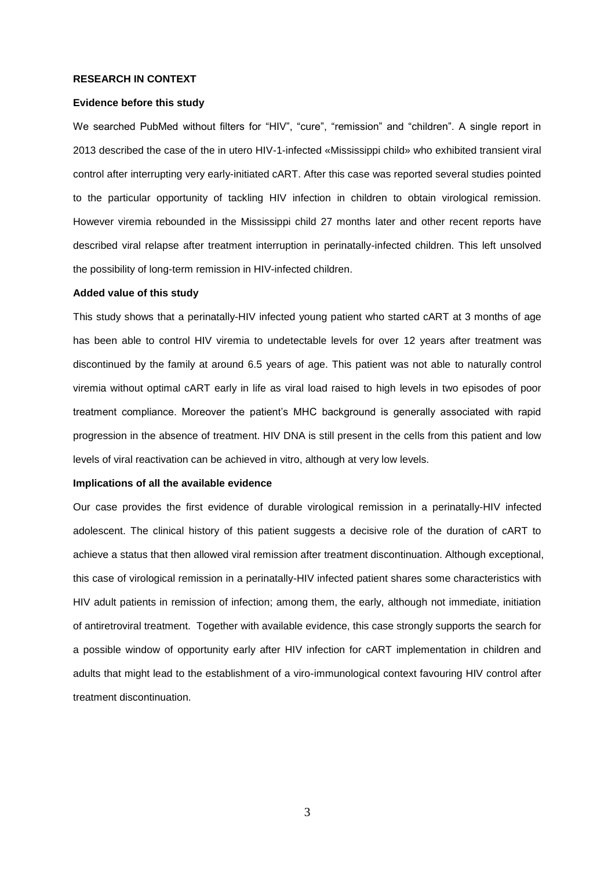#### **RESEARCH IN CONTEXT**

### **Evidence before this study**

We searched PubMed without filters for "HIV", "cure", "remission" and "children". A single report in 2013 described the case of the in utero HIV-1-infected «Mississippi child» who exhibited transient viral control after interrupting very early-initiated cART. After this case was reported several studies pointed to the particular opportunity of tackling HIV infection in children to obtain virological remission. However viremia rebounded in the Mississippi child 27 months later and other recent reports have described viral relapse after treatment interruption in perinatally-infected children. This left unsolved the possibility of long-term remission in HIV-infected children.

#### **Added value of this study**

This study shows that a perinatally-HIV infected young patient who started cART at 3 months of age has been able to control HIV viremia to undetectable levels for over 12 years after treatment was discontinued by the family at around 6.5 years of age. This patient was not able to naturally control viremia without optimal cART early in life as viral load raised to high levels in two episodes of poor treatment compliance. Moreover the patient's MHC background is generally associated with rapid progression in the absence of treatment. HIV DNA is still present in the cells from this patient and low levels of viral reactivation can be achieved in vitro, although at very low levels.

#### **Implications of all the available evidence**

Our case provides the first evidence of durable virological remission in a perinatally-HIV infected adolescent. The clinical history of this patient suggests a decisive role of the duration of cART to achieve a status that then allowed viral remission after treatment discontinuation. Although exceptional, this case of virological remission in a perinatally-HIV infected patient shares some characteristics with HIV adult patients in remission of infection; among them, the early, although not immediate, initiation of antiretroviral treatment. Together with available evidence, this case strongly supports the search for a possible window of opportunity early after HIV infection for cART implementation in children and adults that might lead to the establishment of a viro-immunological context favouring HIV control after treatment discontinuation.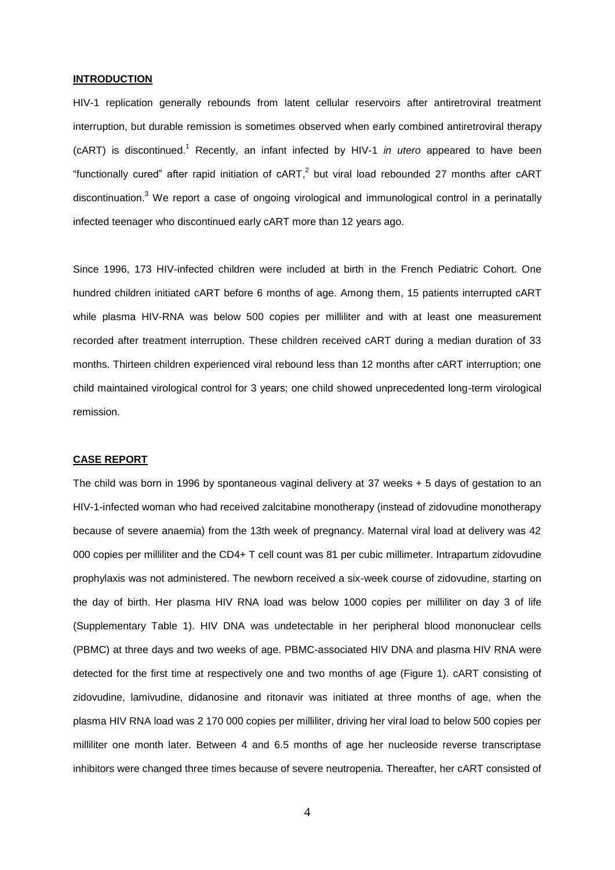# **INTRODUCTION**

HIV-1 replication generally rebounds from latent cellular reservoirs after antiretroviral treatment interruption, but durable remission is sometimes observed when early combined antiretroviral therapy (cART) is discontinued.<sup>1</sup> Recently, an infant infected by HIV-1 *in utero* appeared to have been "functionally cured" after rapid initiation of  $cART$ , but viral load rebounded 27 months after  $cART$ discontinuation.<sup>3</sup> We report a case of ongoing virological and immunological control in a perinatally infected teenager who discontinued early cART more than 12 years ago.

Since 1996, 173 HIV-infected children were included at birth in the French Pediatric Cohort. One hundred children initiated cART before 6 months of age. Among them, 15 patients interrupted cART while plasma HIV-RNA was below 500 copies per milliliter and with at least one measurement recorded after treatment interruption. These children received cART during a median duration of 33 months. Thirteen children experienced viral rebound less than 12 months after cART interruption; one child maintained virological control for 3 years; one child showed unprecedented long-term virological remission.

### **CASE REPORT**

The child was born in 1996 by spontaneous vaginal delivery at 37 weeks + 5 days of gestation to an HIV-1-infected woman who had received zalcitabine monotherapy (instead of zidovudine monotherapy because of severe anaemia) from the 13th week of pregnancy. Maternal viral load at delivery was 42 000 copies per milliliter and the CD4+ T cell count was 81 per cubic millimeter. Intrapartum zidovudine prophylaxis was not administered. The newborn received a six-week course of zidovudine, starting on the day of birth. Her plasma HIV RNA load was below 1000 copies per milliliter on day 3 of life (Supplementary Table 1). HIV DNA was undetectable in her peripheral blood mononuclear cells (PBMC) at three days and two weeks of age. PBMC-associated HIV DNA and plasma HIV RNA were detected for the first time at respectively one and two months of age (Figure 1). cART consisting of zidovudine, lamivudine, didanosine and ritonavir was initiated at three months of age, when the plasma HIV RNA load was 2 170 000 copies per milliliter, driving her viral load to below 500 copies per milliliter one month later. Between 4 and 6.5 months of age her nucleoside reverse transcriptase inhibitors were changed three times because of severe neutropenia. Thereafter, her cART consisted of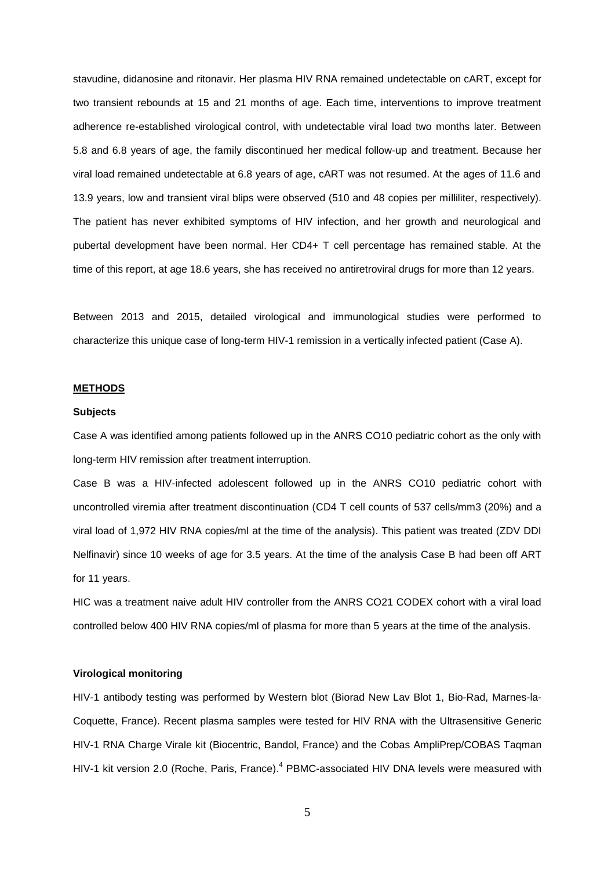stavudine, didanosine and ritonavir. Her plasma HIV RNA remained undetectable on cART, except for two transient rebounds at 15 and 21 months of age. Each time, interventions to improve treatment adherence re-established virological control, with undetectable viral load two months later. Between 5.8 and 6.8 years of age, the family discontinued her medical follow-up and treatment. Because her viral load remained undetectable at 6.8 years of age, cART was not resumed. At the ages of 11.6 and 13.9 years, low and transient viral blips were observed (510 and 48 copies per milliliter, respectively). The patient has never exhibited symptoms of HIV infection, and her growth and neurological and pubertal development have been normal. Her CD4+ T cell percentage has remained stable. At the time of this report, at age 18.6 years, she has received no antiretroviral drugs for more than 12 years.

Between 2013 and 2015, detailed virological and immunological studies were performed to characterize this unique case of long-term HIV-1 remission in a vertically infected patient (Case A).

# **METHODS**

#### **Subjects**

Case A was identified among patients followed up in the ANRS CO10 pediatric cohort as the only with long-term HIV remission after treatment interruption.

Case B was a HIV-infected adolescent followed up in the ANRS CO10 pediatric cohort with uncontrolled viremia after treatment discontinuation (CD4 T cell counts of 537 cells/mm3 (20%) and a viral load of 1,972 HIV RNA copies/ml at the time of the analysis). This patient was treated (ZDV DDI Nelfinavir) since 10 weeks of age for 3.5 years. At the time of the analysis Case B had been off ART for 11 years.

HIC was a treatment naive adult HIV controller from the ANRS CO21 CODEX cohort with a viral load controlled below 400 HIV RNA copies/ml of plasma for more than 5 years at the time of the analysis.

# **Virological monitoring**

HIV-1 antibody testing was performed by Western blot (Biorad New Lav Blot 1, Bio-Rad, Marnes-la-Coquette, France). Recent plasma samples were tested for HIV RNA with the Ultrasensitive Generic HIV-1 RNA Charge Virale kit (Biocentric, Bandol, France) and the Cobas AmpliPrep/COBAS Taqman HIV-1 kit version 2.0 (Roche, Paris, France).<sup>4</sup> PBMC-associated HIV DNA levels were measured with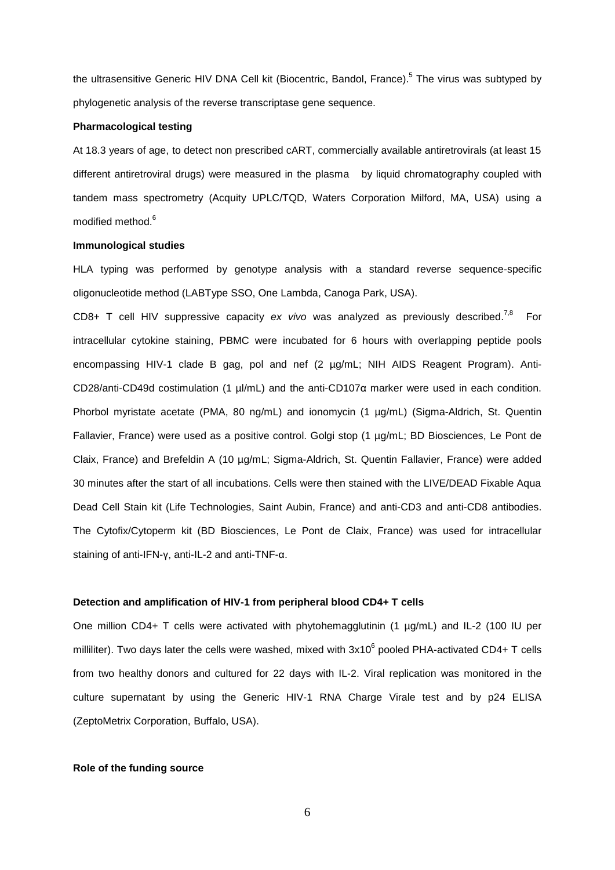the ultrasensitive Generic HIV DNA Cell kit (Biocentric, Bandol, France).<sup>5</sup> The virus was subtyped by phylogenetic analysis of the reverse transcriptase gene sequence.

#### **Pharmacological testing**

At 18.3 years of age, to detect non prescribed cART, commercially available antiretrovirals (at least 15 different antiretroviral drugs) were measured in the plasma by liquid chromatography coupled with tandem mass spectrometry (Acquity UPLC/TQD, Waters Corporation Milford, MA, USA) using a modified method.<sup>6</sup>

#### **Immunological studies**

HLA typing was performed by genotype analysis with a standard reverse sequence-specific oligonucleotide method (LABType SSO, One Lambda, Canoga Park, USA).

CD8+ T cell HIV suppressive capacity *ex vivo* was analyzed as previously described. 7,8 For intracellular cytokine staining, PBMC were incubated for 6 hours with overlapping peptide pools encompassing HIV-1 clade B gag, pol and nef (2 µg/mL; NIH AIDS Reagent Program). Anti-CD28/anti-CD49d costimulation (1 µl/mL) and the anti-CD107α marker were used in each condition. Phorbol myristate acetate (PMA, 80 ng/mL) and ionomycin (1 µg/mL) (Sigma-Aldrich, St. Quentin Fallavier, France) were used as a positive control. Golgi stop (1 µg/mL; BD Biosciences, Le Pont de Claix, France) and Brefeldin A (10 µg/mL; Sigma-Aldrich, St. Quentin Fallavier, France) were added 30 minutes after the start of all incubations. Cells were then stained with the LIVE/DEAD Fixable Aqua Dead Cell Stain kit (Life Technologies, Saint Aubin, France) and anti-CD3 and anti-CD8 antibodies. The Cytofix/Cytoperm kit (BD Biosciences, Le Pont de Claix, France) was used for intracellular staining of anti-IFN-γ, anti-IL-2 and anti-TNF-α.

# **Detection and amplification of HIV-1 from peripheral blood CD4+ T cells**

One million CD4+ T cells were activated with phytohemagglutinin (1 µg/mL) and IL-2 (100 IU per milliliter). Two days later the cells were washed, mixed with  $3x10^6$  pooled PHA-activated CD4+ T cells from two healthy donors and cultured for 22 days with IL-2. Viral replication was monitored in the culture supernatant by using the Generic HIV-1 RNA Charge Virale test and by p24 ELISA (ZeptoMetrix Corporation, Buffalo, USA).

# **Role of the funding source**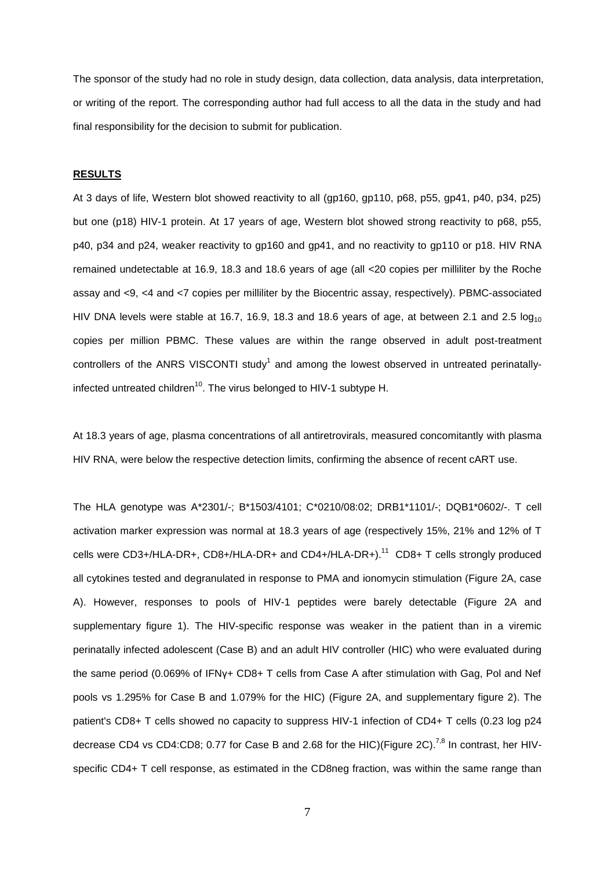The sponsor of the study had no role in study design, data collection, data analysis, data interpretation, or writing of the report. The corresponding author had full access to all the data in the study and had final responsibility for the decision to submit for publication.

# **RESULTS**

At 3 days of life, Western blot showed reactivity to all (gp160, gp110, p68, p55, gp41, p40, p34, p25) but one (p18) HIV-1 protein. At 17 years of age, Western blot showed strong reactivity to p68, p55, p40, p34 and p24, weaker reactivity to gp160 and gp41, and no reactivity to gp110 or p18. HIV RNA remained undetectable at 16.9, 18.3 and 18.6 years of age (all <20 copies per milliliter by the Roche assay and <9, <4 and <7 copies per milliliter by the Biocentric assay, respectively). PBMC-associated HIV DNA levels were stable at 16.7, 16.9, 18.3 and 18.6 years of age, at between 2.1 and 2.5  $log_{10}$ copies per million PBMC. These values are within the range observed in adult post-treatment controllers of the ANRS VISCONTI study<sup>1</sup> and among the lowest observed in untreated perinatallyinfected untreated children<sup>10</sup>. The virus belonged to HIV-1 subtype H.

At 18.3 years of age, plasma concentrations of all antiretrovirals, measured concomitantly with plasma HIV RNA, were below the respective detection limits, confirming the absence of recent cART use.

The HLA genotype was A\*2301/-; B\*1503/4101; C\*0210/08:02; DRB1\*1101/-; DQB1\*0602/-. T cell activation marker expression was normal at 18.3 years of age (respectively 15%, 21% and 12% of T cells were CD3+/HLA-DR+, CD8+/HLA-DR+ and CD4+/HLA-DR+).<sup>11</sup> CD8+ T cells strongly produced all cytokines tested and degranulated in response to PMA and ionomycin stimulation (Figure 2A, case A). However, responses to pools of HIV-1 peptides were barely detectable (Figure 2A and supplementary figure 1). The HIV-specific response was weaker in the patient than in a viremic perinatally infected adolescent (Case B) and an adult HIV controller (HIC) who were evaluated during the same period (0.069% of IFNγ+ CD8+ T cells from Case A after stimulation with Gag, Pol and Nef pools vs 1.295% for Case B and 1.079% for the HIC) (Figure 2A, and supplementary figure 2). The patient's CD8+ T cells showed no capacity to suppress HIV-1 infection of CD4+ T cells (0.23 log p24 decrease CD4 vs CD4:CD8; 0.77 for Case B and 2.68 for the HIC)(Figure 2C).<sup>7,8</sup> In contrast, her HIVspecific CD4+ T cell response, as estimated in the CD8neg fraction, was within the same range than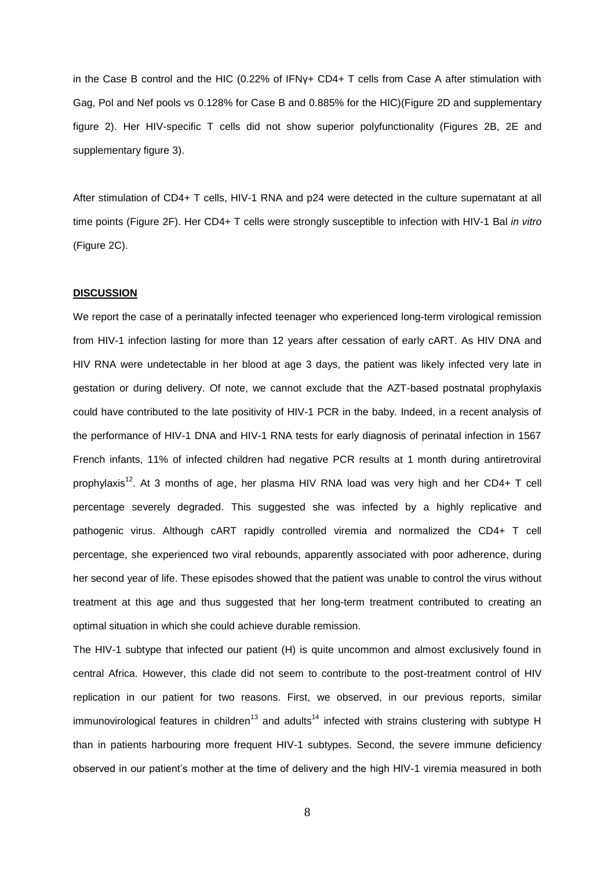in the Case B control and the HIC (0.22% of IFNγ+ CD4+ T cells from Case A after stimulation with Gag, Pol and Nef pools vs 0.128% for Case B and 0.885% for the HIC)(Figure 2D and supplementary figure 2). Her HIV-specific T cells did not show superior polyfunctionality (Figures 2B, 2E and supplementary figure 3).

After stimulation of CD4+ T cells, HIV-1 RNA and p24 were detected in the culture supernatant at all time points (Figure 2F). Her CD4+ T cells were strongly susceptible to infection with HIV-1 Bal *in vitro*  (Figure 2C).

#### **DISCUSSION**

We report the case of a perinatally infected teenager who experienced long-term virological remission from HIV-1 infection lasting for more than 12 years after cessation of early cART. As HIV DNA and HIV RNA were undetectable in her blood at age 3 days, the patient was likely infected very late in gestation or during delivery. Of note, we cannot exclude that the AZT-based postnatal prophylaxis could have contributed to the late positivity of HIV-1 PCR in the baby. Indeed, in a recent analysis of the performance of HIV-1 DNA and HIV-1 RNA tests for early diagnosis of perinatal infection in 1567 French infants, 11% of infected children had negative PCR results at 1 month during antiretroviral prophylaxis<sup>12</sup>. At 3 months of age, her plasma HIV RNA load was very high and her CD4+ T cell percentage severely degraded. This suggested she was infected by a highly replicative and pathogenic virus. Although cART rapidly controlled viremia and normalized the CD4+ T cell percentage, she experienced two viral rebounds, apparently associated with poor adherence, during her second year of life. These episodes showed that the patient was unable to control the virus without treatment at this age and thus suggested that her long-term treatment contributed to creating an optimal situation in which she could achieve durable remission.

The HIV-1 subtype that infected our patient (H) is quite uncommon and almost exclusively found in central Africa. However, this clade did not seem to contribute to the post-treatment control of HIV replication in our patient for two reasons. First, we observed, in our previous reports, similar immunovirological features in children<sup>13</sup> and adults<sup>14</sup> infected with strains clustering with subtype H than in patients harbouring more frequent HIV-1 subtypes. Second, the severe immune deficiency observed in our patient's mother at the time of delivery and the high HIV-1 viremia measured in both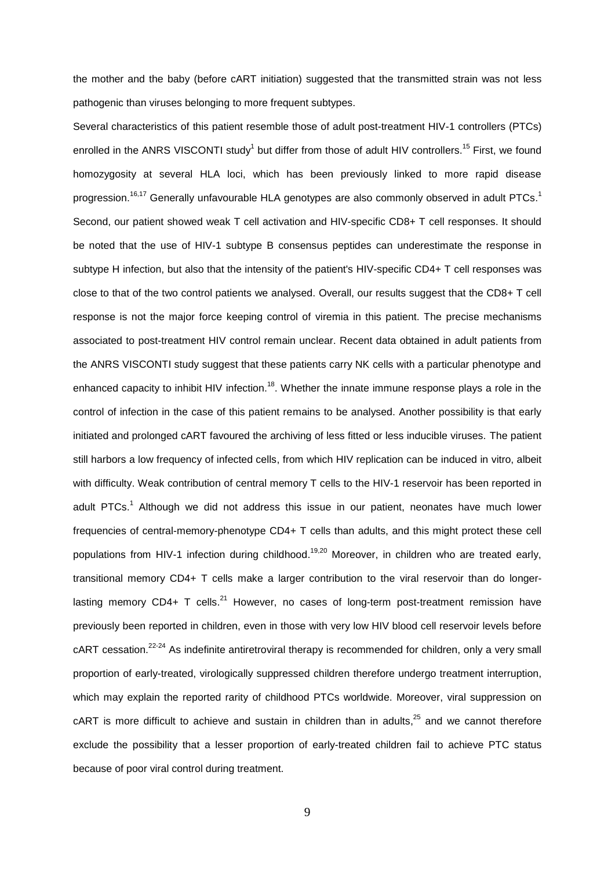the mother and the baby (before cART initiation) suggested that the transmitted strain was not less pathogenic than viruses belonging to more frequent subtypes.

Several characteristics of this patient resemble those of adult post-treatment HIV-1 controllers (PTCs) enrolled in the ANRS VISCONTI study<sup>1</sup> but differ from those of adult HIV controllers.<sup>15</sup> First, we found homozygosity at several HLA loci, which has been previously linked to more rapid disease progression.<sup>16,17</sup> Generally unfavourable HLA genotypes are also commonly observed in adult PTCs.<sup>1</sup> Second, our patient showed weak T cell activation and HIV-specific CD8+ T cell responses. It should be noted that the use of HIV-1 subtype B consensus peptides can underestimate the response in subtype H infection, but also that the intensity of the patient's HIV-specific CD4+ T cell responses was close to that of the two control patients we analysed. Overall, our results suggest that the CD8+ T cell response is not the major force keeping control of viremia in this patient. The precise mechanisms associated to post-treatment HIV control remain unclear. Recent data obtained in adult patients from the ANRS VISCONTI study suggest that these patients carry NK cells with a particular phenotype and enhanced capacity to inhibit HIV infection.<sup>18</sup>. Whether the innate immune response plays a role in the control of infection in the case of this patient remains to be analysed. Another possibility is that early initiated and prolonged cART favoured the archiving of less fitted or less inducible viruses. The patient still harbors a low frequency of infected cells, from which HIV replication can be induced in vitro, albeit with difficulty. Weak contribution of central memory T cells to the HIV-1 reservoir has been reported in adult PTCs.<sup>1</sup> Although we did not address this issue in our patient, neonates have much lower frequencies of central-memory-phenotype CD4+ T cells than adults, and this might protect these cell populations from HIV-1 infection during childhood.<sup>19,20</sup> Moreover, in children who are treated early, transitional memory CD4+ T cells make a larger contribution to the viral reservoir than do longerlasting memory CD4+ T cells. $^{21}$  However, no cases of long-term post-treatment remission have previously been reported in children, even in those with very low HIV blood cell reservoir levels before cART cessation.<sup>22-24</sup> As indefinite antiretroviral therapy is recommended for children, only a very small proportion of early-treated, virologically suppressed children therefore undergo treatment interruption, which may explain the reported rarity of childhood PTCs worldwide. Moreover, viral suppression on  $c$ ART is more difficult to achieve and sustain in children than in adults, $25$  and we cannot therefore exclude the possibility that a lesser proportion of early-treated children fail to achieve PTC status because of poor viral control during treatment.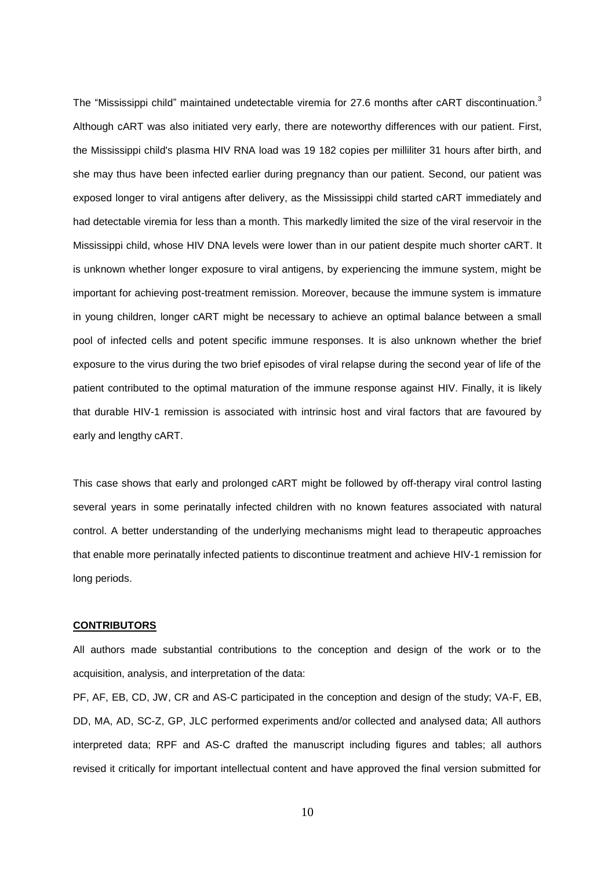The "Mississippi child" maintained undetectable viremia for 27.6 months after cART discontinuation.<sup>3</sup> Although cART was also initiated very early, there are noteworthy differences with our patient. First, the Mississippi child's plasma HIV RNA load was 19 182 copies per milliliter 31 hours after birth, and she may thus have been infected earlier during pregnancy than our patient. Second, our patient was exposed longer to viral antigens after delivery, as the Mississippi child started cART immediately and had detectable viremia for less than a month. This markedly limited the size of the viral reservoir in the Mississippi child, whose HIV DNA levels were lower than in our patient despite much shorter cART. It is unknown whether longer exposure to viral antigens, by experiencing the immune system, might be important for achieving post-treatment remission. Moreover, because the immune system is immature in young children, longer cART might be necessary to achieve an optimal balance between a small pool of infected cells and potent specific immune responses. It is also unknown whether the brief exposure to the virus during the two brief episodes of viral relapse during the second year of life of the patient contributed to the optimal maturation of the immune response against HIV. Finally, it is likely that durable HIV-1 remission is associated with intrinsic host and viral factors that are favoured by early and lengthy cART.

This case shows that early and prolonged cART might be followed by off-therapy viral control lasting several years in some perinatally infected children with no known features associated with natural control. A better understanding of the underlying mechanisms might lead to therapeutic approaches that enable more perinatally infected patients to discontinue treatment and achieve HIV-1 remission for long periods.

#### **CONTRIBUTORS**

All authors made substantial contributions to the conception and design of the work or to the acquisition, analysis, and interpretation of the data:

PF, AF, EB, CD, JW, CR and AS-C participated in the conception and design of the study; VA-F, EB, DD, MA, AD, SC-Z, GP, JLC performed experiments and/or collected and analysed data; All authors interpreted data; RPF and AS-C drafted the manuscript including figures and tables; all authors revised it critically for important intellectual content and have approved the final version submitted for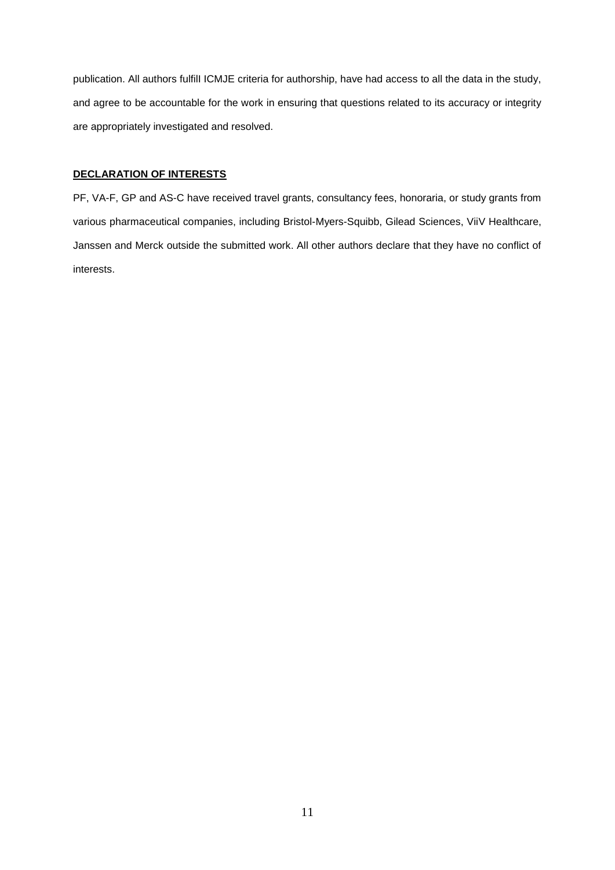publication. All authors fulfilI ICMJE criteria for authorship, have had access to all the data in the study, and agree to be accountable for the work in ensuring that questions related to its accuracy or integrity are appropriately investigated and resolved.

# **DECLARATION OF INTERESTS**

PF, VA-F, GP and AS-C have received travel grants, consultancy fees, honoraria, or study grants from various pharmaceutical companies, including Bristol-Myers-Squibb, Gilead Sciences, ViiV Healthcare, Janssen and Merck outside the submitted work. All other authors declare that they have no conflict of interests.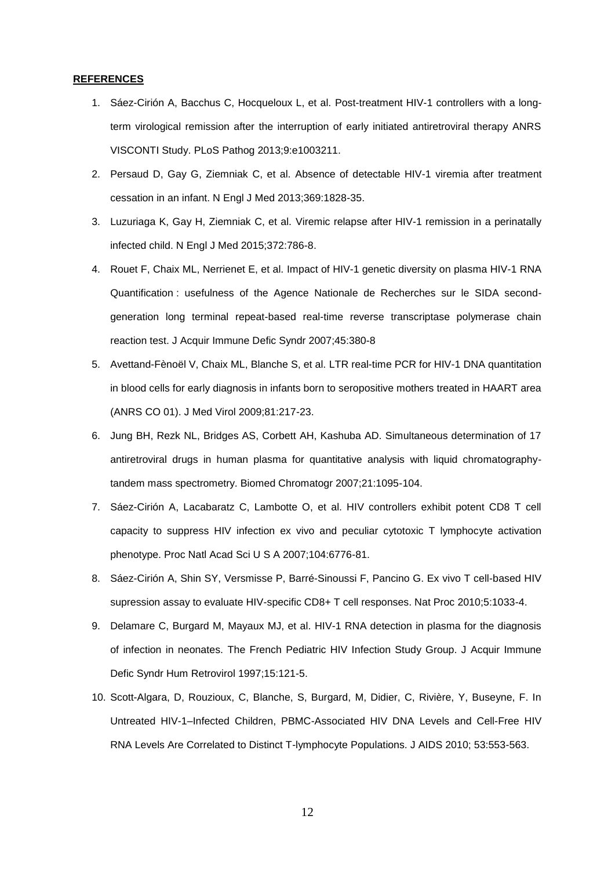# **REFERENCES**

- 1. Sáez-Cirión A, Bacchus C, Hocqueloux L, et al. Post-treatment HIV-1 controllers with a longterm virological remission after the interruption of early initiated antiretroviral therapy ANRS VISCONTI Study. PLoS Pathog 2013;9:e1003211.
- 2. Persaud D, Gay G, Ziemniak C, et al. Absence of detectable HIV-1 viremia after treatment cessation in an infant. N Engl J Med 2013;369:1828-35.
- 3. Luzuriaga K, Gay H, Ziemniak C, et al. Viremic relapse after HIV-1 remission in a perinatally infected child. N Engl J Med 2015;372:786-8.
- 4. Rouet F, Chaix ML, Nerrienet E, et al. Impact of HIV-1 genetic diversity on plasma HIV-1 RNA Quantification : usefulness of the Agence Nationale de Recherches sur le SIDA secondgeneration long terminal repeat-based real-time reverse transcriptase polymerase chain reaction test. J Acquir Immune Defic Syndr 2007;45:380-8
- 5. Avettand-Fènoël V, Chaix ML, Blanche S, et al. LTR real-time PCR for HIV-1 DNA quantitation in blood cells for early diagnosis in infants born to seropositive mothers treated in HAART area (ANRS CO 01). J Med Virol 2009;81:217-23.
- 6. Jung BH, Rezk NL, Bridges AS, Corbett AH, Kashuba AD. Simultaneous determination of 17 antiretroviral drugs in human plasma for quantitative analysis with liquid chromatographytandem mass spectrometry. Biomed Chromatogr 2007;21:1095-104.
- 7. Sáez-Cirión A, Lacabaratz C, Lambotte O, et al. HIV controllers exhibit potent CD8 T cell capacity to suppress HIV infection ex vivo and peculiar cytotoxic T lymphocyte activation phenotype. Proc Natl Acad Sci U S A 2007;104:6776-81.
- 8. Sáez-Cirión A, Shin SY, Versmisse P, Barré-Sinoussi F, Pancino G. Ex vivo T cell-based HIV supression assay to evaluate HIV-specific CD8+ T cell responses. Nat Proc 2010;5:1033-4.
- 9. Delamare C, Burgard M, Mayaux MJ, et al. HIV-1 RNA detection in plasma for the diagnosis of infection in neonates. The French Pediatric HIV Infection Study Group. J Acquir Immune Defic Syndr Hum Retrovirol 1997;15:121-5.
- 10. Scott-Algara, D, Rouzioux, C, Blanche, S, Burgard, M, Didier, C, Rivière, Y, Buseyne, F. In Untreated HIV-1–Infected Children, PBMC-Associated HIV DNA Levels and Cell-Free HIV RNA Levels Are Correlated to Distinct T-lymphocyte Populations. J AIDS 2010; 53:553-563.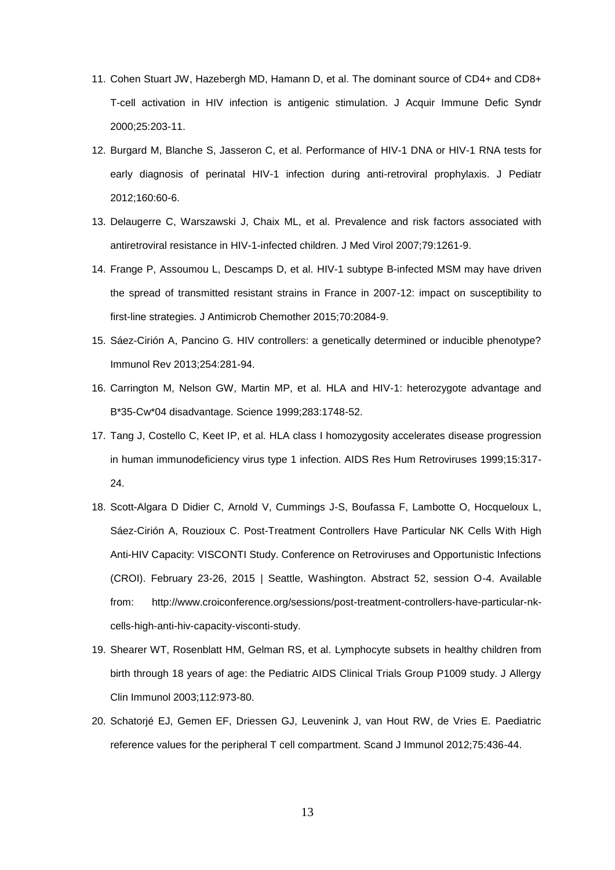- 11. Cohen Stuart JW, Hazebergh MD, Hamann D, et al. The dominant source of CD4+ and CD8+ T-cell activation in HIV infection is antigenic stimulation. J Acquir Immune Defic Syndr 2000;25:203-11.
- 12. Burgard M, Blanche S, Jasseron C, et al. Performance of HIV-1 DNA or HIV-1 RNA tests for early diagnosis of perinatal HIV-1 infection during anti-retroviral prophylaxis. J Pediatr 2012;160:60-6.
- 13. Delaugerre C, Warszawski J, Chaix ML, et al. Prevalence and risk factors associated with antiretroviral resistance in HIV-1-infected children. J Med Virol 2007;79:1261-9.
- 14. Frange P, Assoumou L, Descamps D, et al. HIV-1 subtype B-infected MSM may have driven the spread of transmitted resistant strains in France in 2007-12: impact on susceptibility to first-line strategies. J Antimicrob Chemother 2015;70:2084-9.
- 15. Sáez-Cirión A, Pancino G. HIV controllers: a genetically determined or inducible phenotype? Immunol Rev 2013;254:281-94.
- 16. Carrington M, Nelson GW, Martin MP, et al. HLA and HIV-1: heterozygote advantage and B\*35-Cw\*04 disadvantage. Science 1999;283:1748-52.
- 17. Tang J, Costello C, Keet IP, et al. HLA class I homozygosity accelerates disease progression in human immunodeficiency virus type 1 infection. AIDS Res Hum Retroviruses 1999;15:317- 24.
- 18. Scott-Algara D Didier C, Arnold V, Cummings J-S, Boufassa F, Lambotte O, Hocqueloux L, Sáez-Cirión A, Rouzioux C. Post-Treatment Controllers Have Particular NK Cells With High Anti-HIV Capacity: VISCONTI Study. Conference on Retroviruses and Opportunistic Infections (CROI). February 23-26, 2015 | Seattle, Washington. Abstract 52, session O-4. Available from: http://www.croiconference.org/sessions/post-treatment-controllers-have-particular-nkcells-high-anti-hiv-capacity-visconti-study.
- 19. Shearer WT, Rosenblatt HM, Gelman RS, et al. Lymphocyte subsets in healthy children from birth through 18 years of age: the Pediatric AIDS Clinical Trials Group P1009 study. J Allergy Clin Immunol 2003;112:973-80.
- 20. Schatorjé EJ, Gemen EF, Driessen GJ, Leuvenink J, van Hout RW, de Vries E. Paediatric reference values for the peripheral T cell compartment. Scand J Immunol 2012;75:436-44.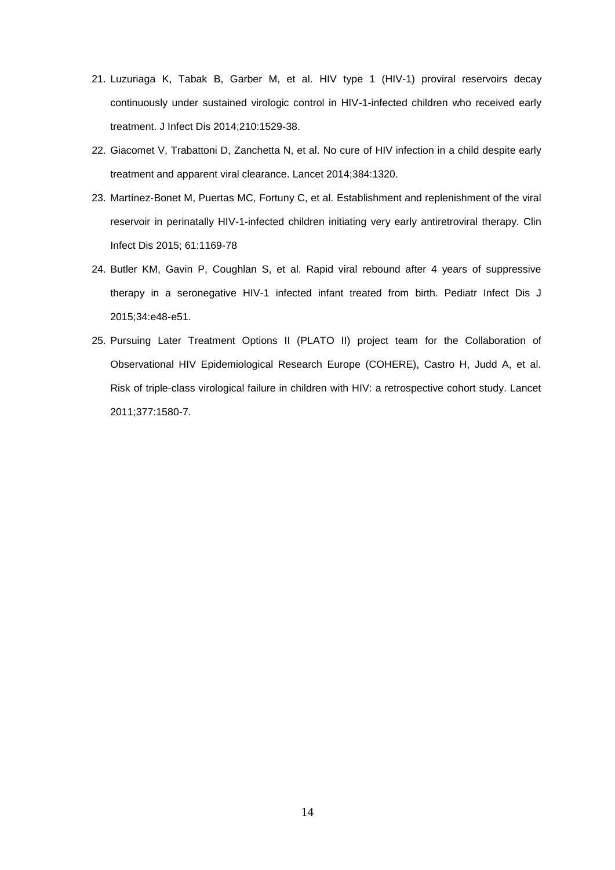- 21. Luzuriaga K, Tabak B, Garber M, et al. HIV type 1 (HIV-1) proviral reservoirs decay continuously under sustained virologic control in HIV-1-infected children who received early treatment. J Infect Dis 2014;210:1529-38.
- 22. Giacomet V, Trabattoni D, Zanchetta N, et al. No cure of HIV infection in a child despite early treatment and apparent viral clearance. Lancet 2014;384:1320.
- 23. Martínez-Bonet M, Puertas MC, Fortuny C, et al. Establishment and replenishment of the viral reservoir in perinatally HIV-1-infected children initiating very early antiretroviral therapy. Clin Infect Dis 2015; 61:1169-78
- 24. Butler KM, Gavin P, Coughlan S, et al. Rapid viral rebound after 4 years of suppressive therapy in a seronegative HIV-1 infected infant treated from birth. Pediatr Infect Dis J 2015;34:e48-e51.
- 25. Pursuing Later Treatment Options II (PLATO II) project team for the Collaboration of Observational HIV Epidemiological Research Europe (COHERE), Castro H, Judd A, et al. Risk of triple-class virological failure in children with HIV: a retrospective cohort study. Lancet 2011;377:1580-7.